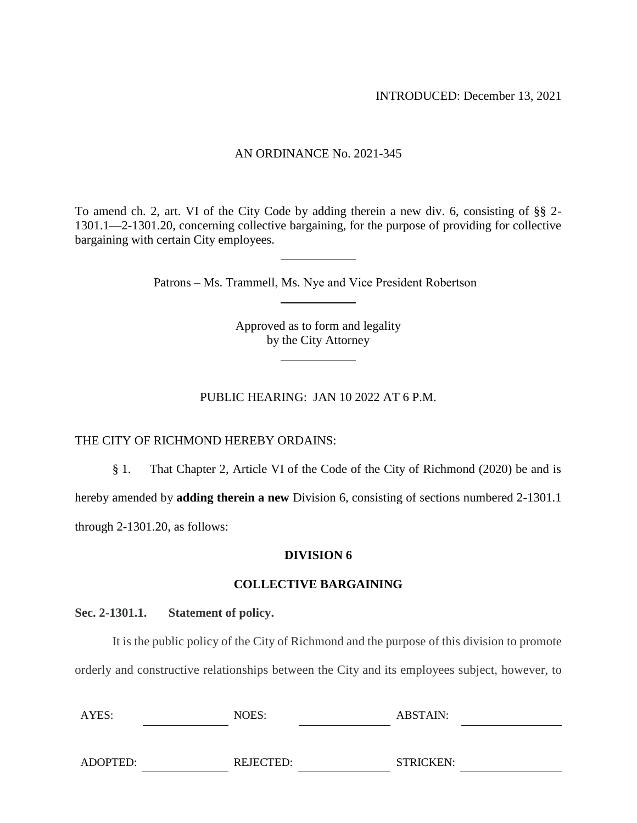INTRODUCED: December 13, 2021

### AN ORDINANCE No. 2021-345

To amend ch. 2, art. VI of the City Code by adding therein a new div. 6, consisting of §§ 2- 1301.1—2-1301.20, concerning collective bargaining, for the purpose of providing for collective bargaining with certain City employees.

Patrons – Ms. Trammell, Ms. Nye and Vice President Robertson

Approved as to form and legality by the City Attorney

PUBLIC HEARING: JAN 10 2022 AT 6 P.M.

#### THE CITY OF RICHMOND HEREBY ORDAINS:

§ 1. That Chapter 2, Article VI of the Code of the City of Richmond (2020) be and is

hereby amended by **adding therein a new** Division 6, consisting of sections numbered 2-1301.1

through 2-1301.20, as follows:

#### **DIVISION 6**

#### **COLLECTIVE BARGAINING**

#### **Sec. 2-1301.1. Statement of policy.**

It is the public policy of the City of Richmond and the purpose of this division to promote orderly and constructive relationships between the City and its employees subject, however, to

| AYES:    | NOES:     | ABSTAIN:  |  |
|----------|-----------|-----------|--|
|          |           |           |  |
| ADOPTED: | REJECTED: | STRICKEN: |  |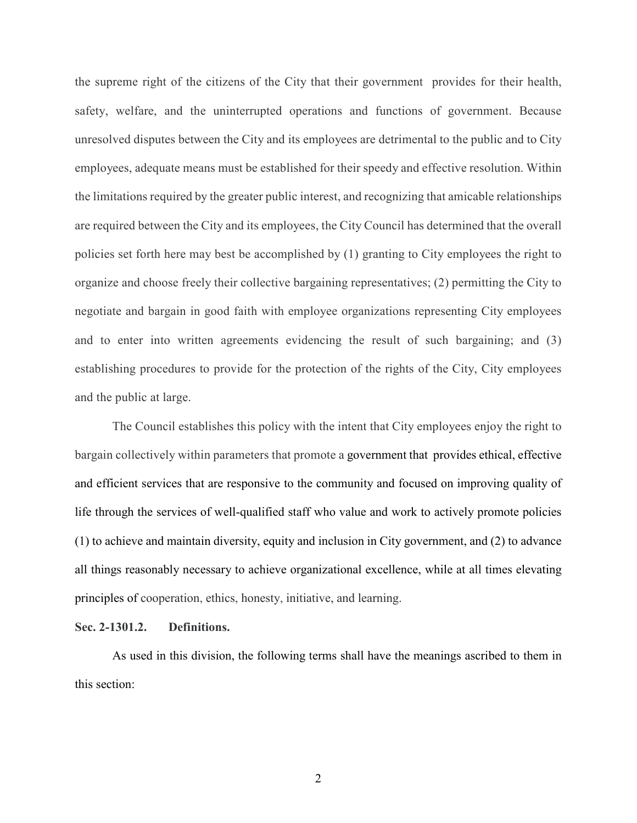the supreme right of the citizens of the City that their government provides for their health, safety, welfare, and the uninterrupted operations and functions of government. Because unresolved disputes between the City and its employees are detrimental to the public and to City employees, adequate means must be established for their speedy and effective resolution. Within the limitations required by the greater public interest, and recognizing that amicable relationships are required between the City and its employees, the City Council has determined that the overall policies set forth here may best be accomplished by (1) granting to City employees the right to organize and choose freely their collective bargaining representatives; (2) permitting the City to negotiate and bargain in good faith with employee organizations representing City employees and to enter into written agreements evidencing the result of such bargaining; and (3) establishing procedures to provide for the protection of the rights of the City, City employees and the public at large.

The Council establishes this policy with the intent that City employees enjoy the right to bargain collectively within parameters that promote a government that provides ethical, effective and efficient services that are responsive to the community and focused on improving quality of life through the services of well-qualified staff who value and work to actively promote policies (1) to achieve and maintain diversity, equity and inclusion in City government, and (2) to advance all things reasonably necessary to achieve organizational excellence, while at all times elevating principles of cooperation, ethics, honesty, initiative, and learning.

#### **Sec. 2-1301.2. Definitions.**

As used in this division, the following terms shall have the meanings ascribed to them in this section: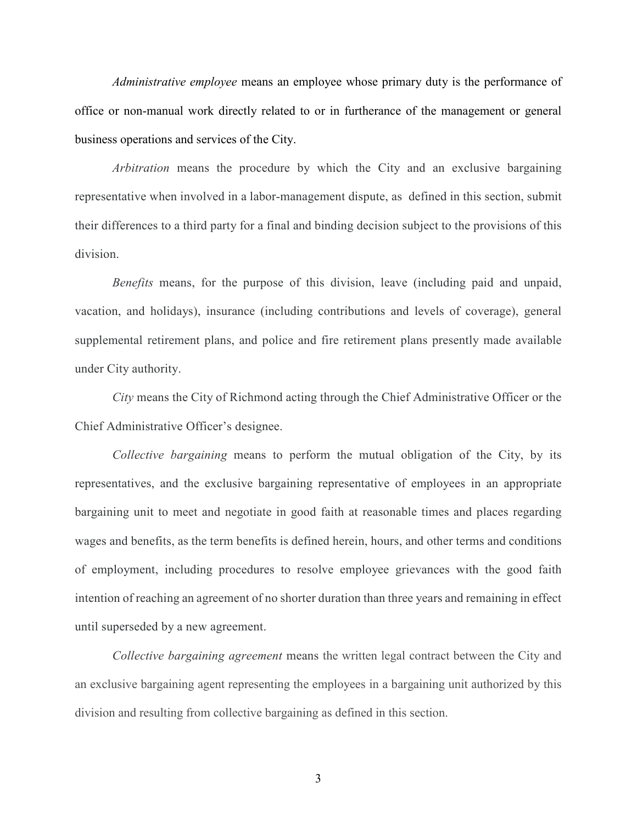*Administrative employee* means an employee whose primary duty is the performance of office or non-manual work directly related to or in furtherance of the management or general business operations and services of the City.

*Arbitration* means the procedure by which the City and an exclusive bargaining representative when involved in a labor-management dispute, as defined in this section, submit their differences to a third party for a final and binding decision subject to the provisions of this division.

*Benefits* means, for the purpose of this division, leave (including paid and unpaid, vacation, and holidays), insurance (including contributions and levels of coverage), general supplemental retirement plans, and police and fire retirement plans presently made available under City authority.

*City* means the City of Richmond acting through the Chief Administrative Officer or the Chief Administrative Officer's designee.

*Collective bargaining* means to perform the mutual obligation of the City, by its representatives, and the exclusive bargaining representative of employees in an appropriate bargaining unit to meet and negotiate in good faith at reasonable times and places regarding wages and benefits, as the term benefits is defined herein, hours, and other terms and conditions of employment, including procedures to resolve employee grievances with the good faith intention of reaching an agreement of no shorter duration than three years and remaining in effect until superseded by a new agreement.

*Collective bargaining agreement* means the written legal contract between the City and an exclusive bargaining agent representing the employees in a bargaining unit authorized by this division and resulting from collective bargaining as defined in this section.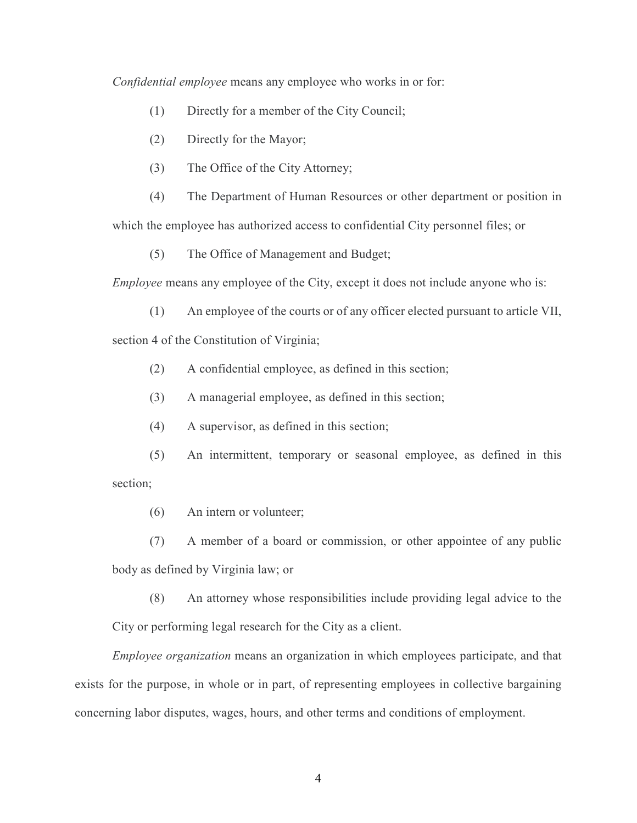*Confidential employee* means any employee who works in or for:

- (1) Directly for a member of the City Council;
- (2) Directly for the Mayor;
- (3) The Office of the City Attorney;

(4) The Department of Human Resources or other department or position in which the employee has authorized access to confidential City personnel files; or

(5) The Office of Management and Budget;

*Employee* means any employee of the City, except it does not include anyone who is:

- (1) An employee of the courts or of any officer elected pursuant to article VII, section 4 of the Constitution of Virginia;
	- (2) A confidential employee, as defined in this section;
	- (3) A managerial employee, as defined in this section;
	- (4) A supervisor, as defined in this section;
- (5) An intermittent, temporary or seasonal employee, as defined in this section;
	- (6) An intern or volunteer;
	- (7) A member of a board or commission, or other appointee of any public

body as defined by Virginia law; or

(8) An attorney whose responsibilities include providing legal advice to the City or performing legal research for the City as a client.

*Employee organization* means an organization in which employees participate, and that exists for the purpose, in whole or in part, of representing employees in collective bargaining concerning labor disputes, wages, hours, and other terms and conditions of employment.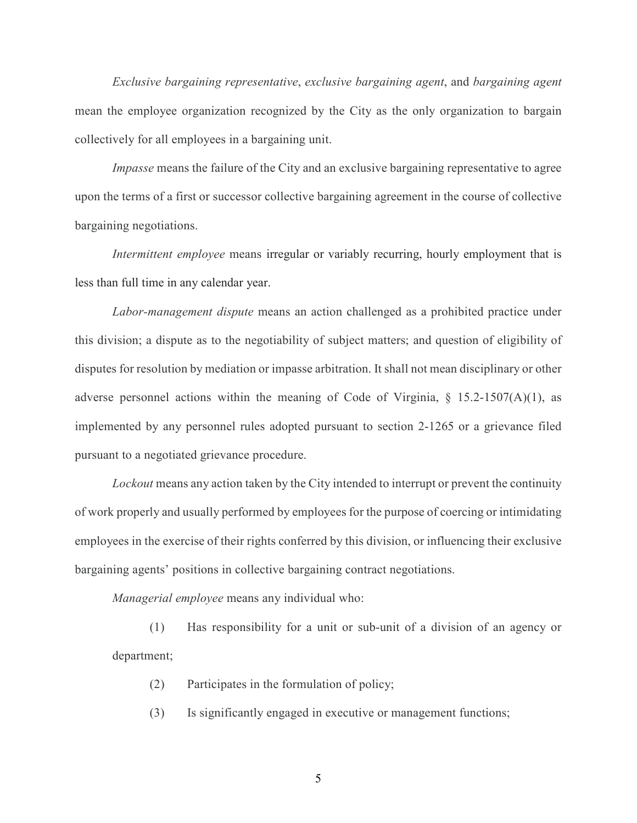*Exclusive bargaining representative*, *exclusive bargaining agent*, and *bargaining agent* mean the employee organization recognized by the City as the only organization to bargain collectively for all employees in a bargaining unit.

*Impasse* means the failure of the City and an exclusive bargaining representative to agree upon the terms of a first or successor collective bargaining agreement in the course of collective bargaining negotiations.

*Intermittent employee* means irregular or variably recurring, hourly employment that is less than full time in any calendar year.

*Labor-management dispute* means an action challenged as a prohibited practice under this division; a dispute as to the negotiability of subject matters; and question of eligibility of disputes for resolution by mediation or impasse arbitration. It shall not mean disciplinary or other adverse personnel actions within the meaning of Code of Virginia,  $\S$  15.2-1507(A)(1), as implemented by any personnel rules adopted pursuant to section 2-1265 or a grievance filed pursuant to a negotiated grievance procedure.

*Lockout* means any action taken by the City intended to interrupt or prevent the continuity of work properly and usually performed by employees for the purpose of coercing or intimidating employees in the exercise of their rights conferred by this division, or influencing their exclusive bargaining agents' positions in collective bargaining contract negotiations.

*Managerial employee* means any individual who:

(1) Has responsibility for a unit or sub-unit of a division of an agency or department;

- (2) Participates in the formulation of policy;
- (3) Is significantly engaged in executive or management functions;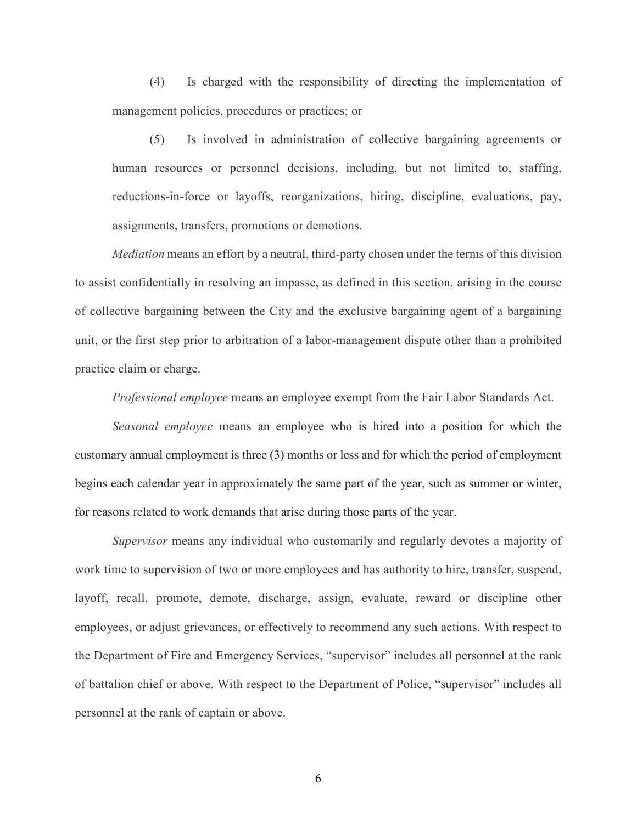(4) Is charged with the responsibility of directing the implementation of management policies, procedures or practices; or

(5) Is involved in administration of collective bargaining agreements or human resources or personnel decisions, including, but not limited to, staffing, reductions-in-force or layoffs, reorganizations, hiring, discipline, evaluations, pay, assignments, transfers, promotions or demotions.

*Mediation* means an effort by a neutral, third-party chosen under the terms of this division to assist confidentially in resolving an impasse, as defined in this section, arising in the course of collective bargaining between the City and the exclusive bargaining agent of a bargaining unit, or the first step prior to arbitration of a labor-management dispute other than a prohibited practice claim or charge.

*Professional employee* means an employee exempt from the Fair Labor Standards Act.

*Seasonal employee* means an employee who is hired into a position for which the customary annual employment is three (3) months or less and for which the period of employment begins each calendar year in approximately the same part of the year, such as summer or winter, for reasons related to work demands that arise during those parts of the year.

*Supervisor* means any individual who customarily and regularly devotes a majority of work time to supervision of two or more employees and has authority to hire, transfer, suspend, layoff, recall, promote, demote, discharge, assign, evaluate, reward or discipline other employees, or adjust grievances, or effectively to recommend any such actions. With respect to the Department of Fire and Emergency Services, "supervisor" includes all personnel at the rank of battalion chief or above. With respect to the Department of Police, "supervisor" includes all personnel at the rank of captain or above.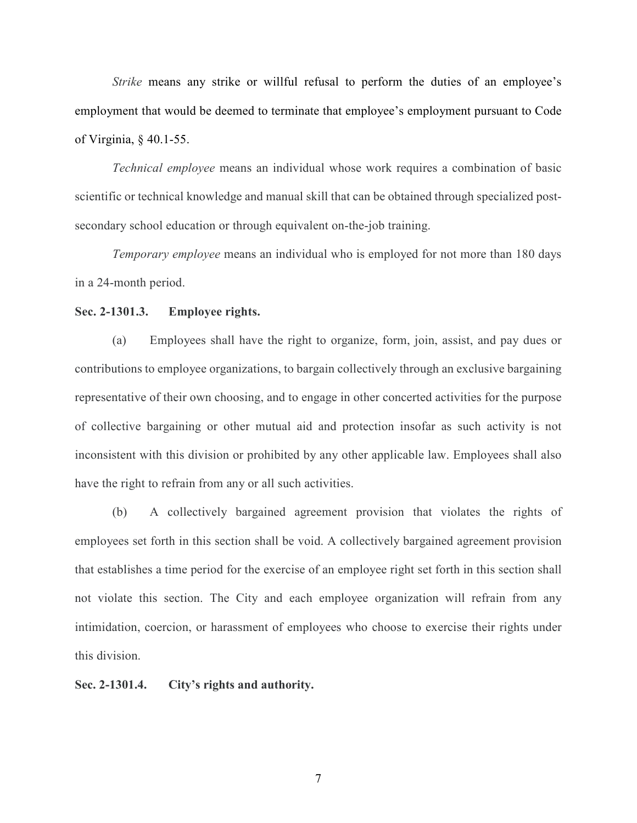*Strike* means any strike or willful refusal to perform the duties of an employee's employment that would be deemed to terminate that employee's employment pursuant to Code of Virginia, § 40.1-55.

*Technical employee* means an individual whose work requires a combination of basic scientific or technical knowledge and manual skill that can be obtained through specialized postsecondary school education or through equivalent on-the-job training.

*Temporary employee* means an individual who is employed for not more than 180 days in a 24-month period.

#### **Sec. 2-1301.3. Employee rights.**

(a) Employees shall have the right to organize, form, join, assist, and pay dues or contributions to employee organizations, to bargain collectively through an exclusive bargaining representative of their own choosing, and to engage in other concerted activities for the purpose of collective bargaining or other mutual aid and protection insofar as such activity is not inconsistent with this division or prohibited by any other applicable law. Employees shall also have the right to refrain from any or all such activities.

(b) A collectively bargained agreement provision that violates the rights of employees set forth in this section shall be void. A collectively bargained agreement provision that establishes a time period for the exercise of an employee right set forth in this section shall not violate this section. The City and each employee organization will refrain from any intimidation, coercion, or harassment of employees who choose to exercise their rights under this division.

**Sec. 2-1301.4. City's rights and authority.**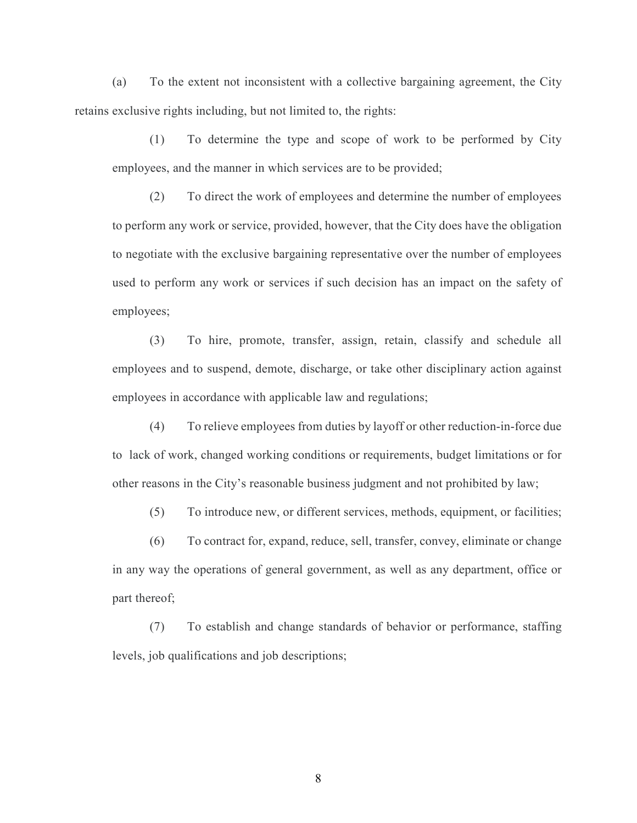(a) To the extent not inconsistent with a collective bargaining agreement, the City retains exclusive rights including, but not limited to, the rights:

(1) To determine the type and scope of work to be performed by City employees, and the manner in which services are to be provided;

(2) To direct the work of employees and determine the number of employees to perform any work or service, provided, however, that the City does have the obligation to negotiate with the exclusive bargaining representative over the number of employees used to perform any work or services if such decision has an impact on the safety of employees;

(3) To hire, promote, transfer, assign, retain, classify and schedule all employees and to suspend, demote, discharge, or take other disciplinary action against employees in accordance with applicable law and regulations;

(4) To relieve employees from duties by layoff or other reduction-in-force due to lack of work, changed working conditions or requirements, budget limitations or for other reasons in the City's reasonable business judgment and not prohibited by law;

(5) To introduce new, or different services, methods, equipment, or facilities;

(6) To contract for, expand, reduce, sell, transfer, convey, eliminate or change in any way the operations of general government, as well as any department, office or part thereof;

(7) To establish and change standards of behavior or performance, staffing levels, job qualifications and job descriptions;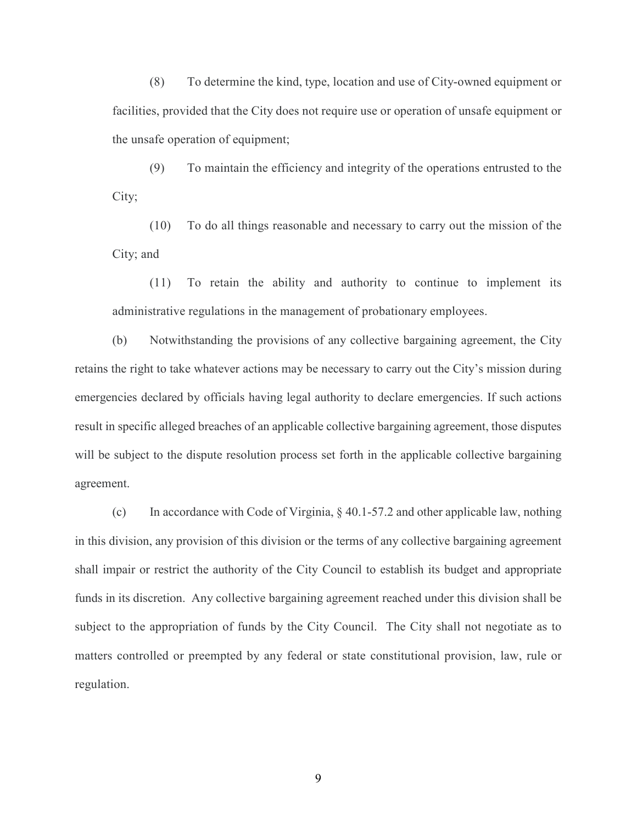(8) To determine the kind, type, location and use of City-owned equipment or facilities, provided that the City does not require use or operation of unsafe equipment or the unsafe operation of equipment;

(9) To maintain the efficiency and integrity of the operations entrusted to the City;

(10) To do all things reasonable and necessary to carry out the mission of the City; and

(11) To retain the ability and authority to continue to implement its administrative regulations in the management of probationary employees.

(b) Notwithstanding the provisions of any collective bargaining agreement, the City retains the right to take whatever actions may be necessary to carry out the City's mission during emergencies declared by officials having legal authority to declare emergencies. If such actions result in specific alleged breaches of an applicable collective bargaining agreement, those disputes will be subject to the dispute resolution process set forth in the applicable collective bargaining agreement.

(c) In accordance with Code of Virginia, § 40.1-57.2 and other applicable law, nothing in this division, any provision of this division or the terms of any collective bargaining agreement shall impair or restrict the authority of the City Council to establish its budget and appropriate funds in its discretion. Any collective bargaining agreement reached under this division shall be subject to the appropriation of funds by the City Council. The City shall not negotiate as to matters controlled or preempted by any federal or state constitutional provision, law, rule or regulation.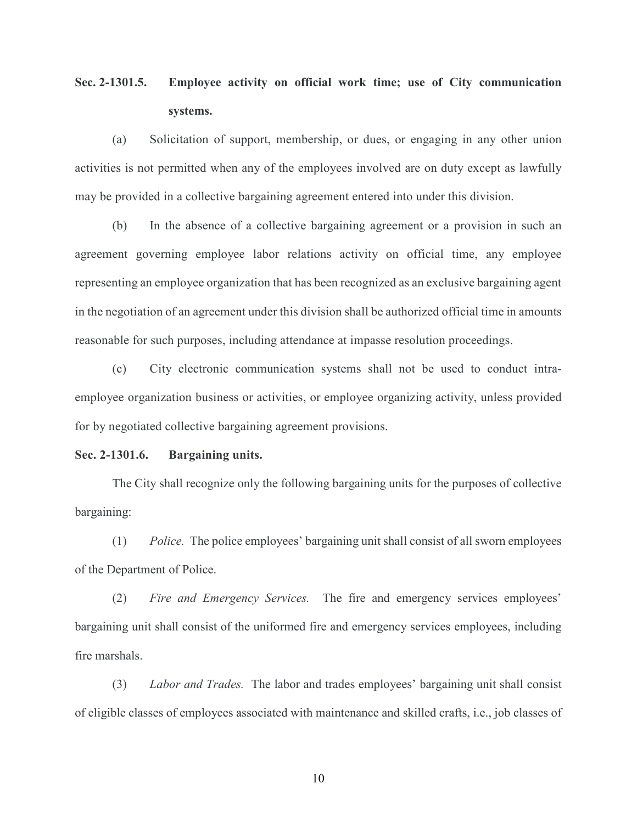## **Sec. 2-1301.5. Employee activity on official work time; use of City communication systems.**

(a) Solicitation of support, membership, or dues, or engaging in any other union activities is not permitted when any of the employees involved are on duty except as lawfully may be provided in a collective bargaining agreement entered into under this division.

(b) In the absence of a collective bargaining agreement or a provision in such an agreement governing employee labor relations activity on official time, any employee representing an employee organization that has been recognized as an exclusive bargaining agent in the negotiation of an agreement under this division shall be authorized official time in amounts reasonable for such purposes, including attendance at impasse resolution proceedings.

(c) City electronic communication systems shall not be used to conduct intraemployee organization business or activities, or employee organizing activity, unless provided for by negotiated collective bargaining agreement provisions.

#### **Sec. 2-1301.6. Bargaining units.**

The City shall recognize only the following bargaining units for the purposes of collective bargaining:

(1) *Police.* The police employees' bargaining unit shall consist of all sworn employees of the Department of Police.

(2) *Fire and Emergency Services.* The fire and emergency services employees' bargaining unit shall consist of the uniformed fire and emergency services employees, including fire marshals.

(3) *Labor and Trades.* The labor and trades employees' bargaining unit shall consist of eligible classes of employees associated with maintenance and skilled crafts, i.e., job classes of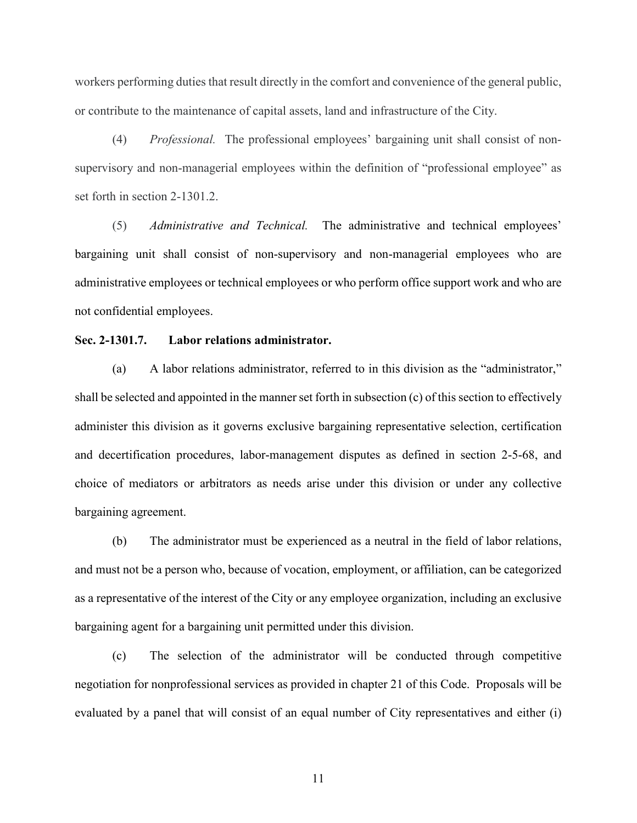workers performing duties that result directly in the comfort and convenience of the general public, or contribute to the maintenance of capital assets, land and infrastructure of the City.

(4) *Professional.* The professional employees' bargaining unit shall consist of nonsupervisory and non-managerial employees within the definition of "professional employee" as set forth in section 2-1301.2.

(5) *Administrative and Technical.* The administrative and technical employees' bargaining unit shall consist of non-supervisory and non-managerial employees who are administrative employees or technical employees or who perform office support work and who are not confidential employees.

#### **Sec. 2-1301.7. Labor relations administrator.**

(a) A labor relations administrator, referred to in this division as the "administrator," shall be selected and appointed in the manner set forth in subsection (c) of this section to effectively administer this division as it governs exclusive bargaining representative selection, certification and decertification procedures, labor-management disputes as defined in section 2-5-68, and choice of mediators or arbitrators as needs arise under this division or under any collective bargaining agreement.

(b) The administrator must be experienced as a neutral in the field of labor relations, and must not be a person who, because of vocation, employment, or affiliation, can be categorized as a representative of the interest of the City or any employee organization, including an exclusive bargaining agent for a bargaining unit permitted under this division.

(c) The selection of the administrator will be conducted through competitive negotiation for nonprofessional services as provided in chapter 21 of this Code. Proposals will be evaluated by a panel that will consist of an equal number of City representatives and either (i)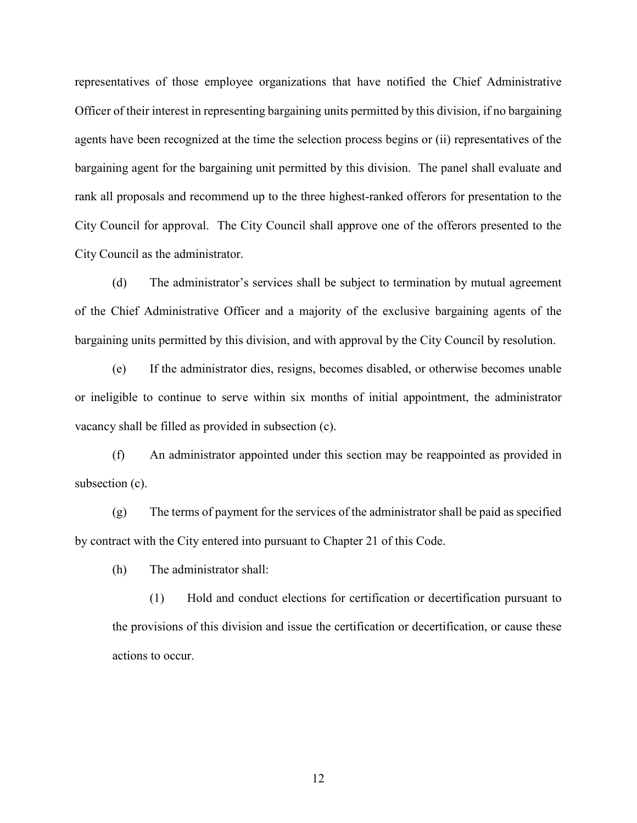representatives of those employee organizations that have notified the Chief Administrative Officer of their interest in representing bargaining units permitted by this division, if no bargaining agents have been recognized at the time the selection process begins or (ii) representatives of the bargaining agent for the bargaining unit permitted by this division. The panel shall evaluate and rank all proposals and recommend up to the three highest-ranked offerors for presentation to the City Council for approval. The City Council shall approve one of the offerors presented to the City Council as the administrator.

(d) The administrator's services shall be subject to termination by mutual agreement of the Chief Administrative Officer and a majority of the exclusive bargaining agents of the bargaining units permitted by this division, and with approval by the City Council by resolution.

(e) If the administrator dies, resigns, becomes disabled, or otherwise becomes unable or ineligible to continue to serve within six months of initial appointment, the administrator vacancy shall be filled as provided in subsection (c).

(f) An administrator appointed under this section may be reappointed as provided in subsection (c).

(g) The terms of payment for the services of the administrator shall be paid as specified by contract with the City entered into pursuant to Chapter 21 of this Code.

(h) The administrator shall:

(1) Hold and conduct elections for certification or decertification pursuant to the provisions of this division and issue the certification or decertification, or cause these actions to occur.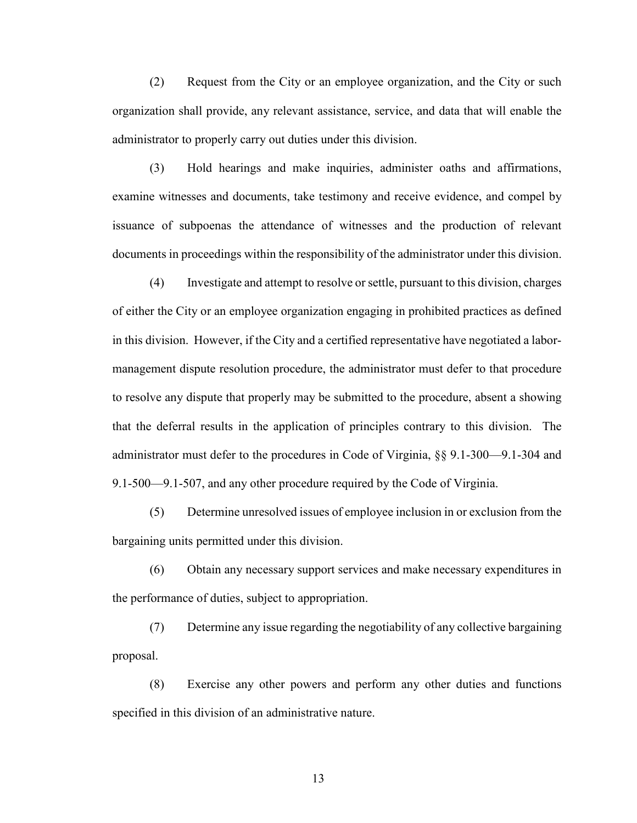(2) Request from the City or an employee organization, and the City or such organization shall provide, any relevant assistance, service, and data that will enable the administrator to properly carry out duties under this division.

(3) Hold hearings and make inquiries, administer oaths and affirmations, examine witnesses and documents, take testimony and receive evidence, and compel by issuance of subpoenas the attendance of witnesses and the production of relevant documents in proceedings within the responsibility of the administrator under this division.

(4) Investigate and attempt to resolve orsettle, pursuant to this division, charges of either the City or an employee organization engaging in prohibited practices as defined in this division. However, if the City and a certified representative have negotiated a labormanagement dispute resolution procedure, the administrator must defer to that procedure to resolve any dispute that properly may be submitted to the procedure, absent a showing that the deferral results in the application of principles contrary to this division. The administrator must defer to the procedures in Code of Virginia, §§ 9.1-300—9.1-304 and 9.1-500—9.1-507, and any other procedure required by the Code of Virginia.

(5) Determine unresolved issues of employee inclusion in or exclusion from the bargaining units permitted under this division.

(6) Obtain any necessary support services and make necessary expenditures in the performance of duties, subject to appropriation.

(7) Determine any issue regarding the negotiability of any collective bargaining proposal.

(8) Exercise any other powers and perform any other duties and functions specified in this division of an administrative nature.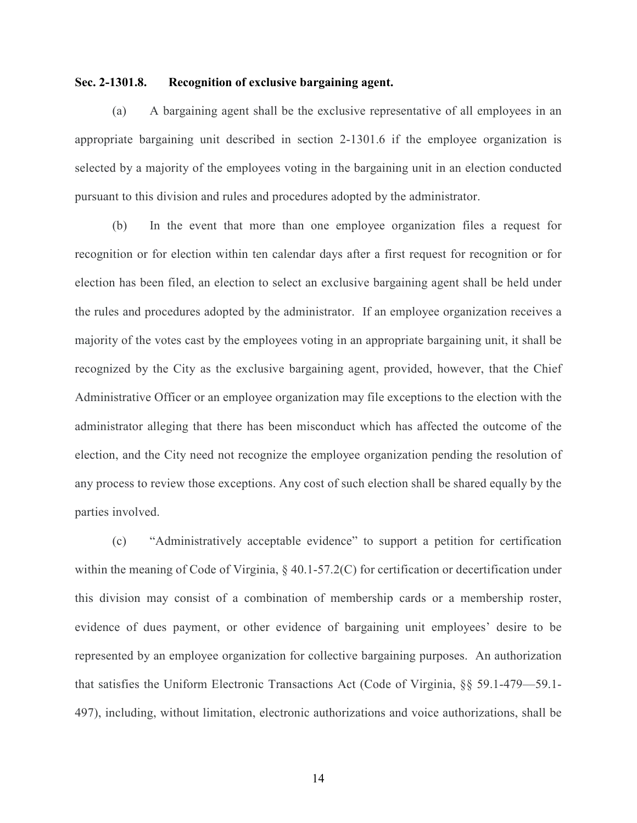#### **Sec. 2-1301.8. Recognition of exclusive bargaining agent.**

(a) A bargaining agent shall be the exclusive representative of all employees in an appropriate bargaining unit described in section 2-1301.6 if the employee organization is selected by a majority of the employees voting in the bargaining unit in an election conducted pursuant to this division and rules and procedures adopted by the administrator.

(b) In the event that more than one employee organization files a request for recognition or for election within ten calendar days after a first request for recognition or for election has been filed, an election to select an exclusive bargaining agent shall be held under the rules and procedures adopted by the administrator. If an employee organization receives a majority of the votes cast by the employees voting in an appropriate bargaining unit, it shall be recognized by the City as the exclusive bargaining agent, provided, however, that the Chief Administrative Officer or an employee organization may file exceptions to the election with the administrator alleging that there has been misconduct which has affected the outcome of the election, and the City need not recognize the employee organization pending the resolution of any process to review those exceptions. Any cost of such election shall be shared equally by the parties involved.

(c) "Administratively acceptable evidence" to support a petition for certification within the meaning of Code of Virginia, § 40.1-57.2(C) for certification or decertification under this division may consist of a combination of membership cards or a membership roster, evidence of dues payment, or other evidence of bargaining unit employees' desire to be represented by an employee organization for collective bargaining purposes. An authorization that satisfies the Uniform Electronic Transactions Act (Code of Virginia, §§ 59.1-479—59.1- 497), including, without limitation, electronic authorizations and voice authorizations, shall be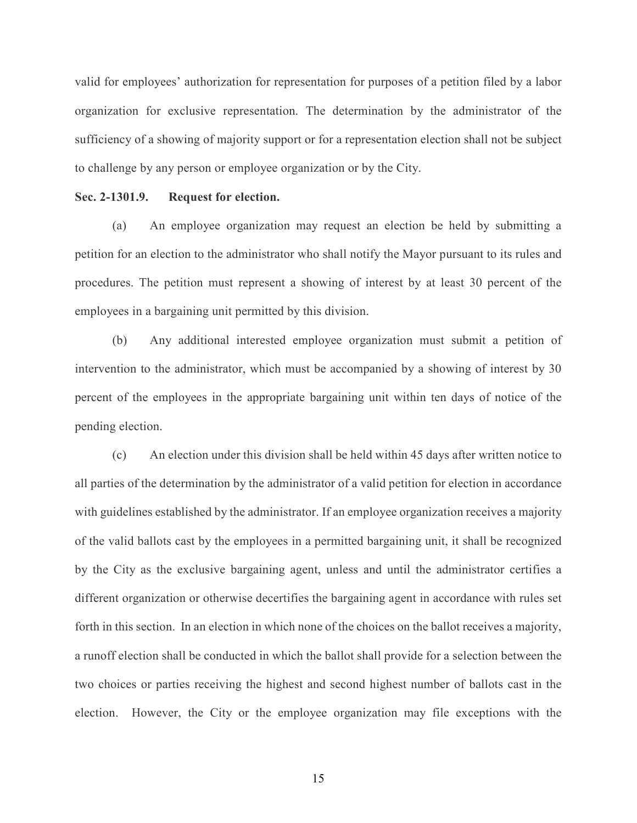valid for employees' authorization for representation for purposes of a petition filed by a labor organization for exclusive representation. The determination by the administrator of the sufficiency of a showing of majority support or for a representation election shall not be subject to challenge by any person or employee organization or by the City.

#### **Sec. 2-1301.9. Request for election.**

(a) An employee organization may request an election be held by submitting a petition for an election to the administrator who shall notify the Mayor pursuant to its rules and procedures. The petition must represent a showing of interest by at least 30 percent of the employees in a bargaining unit permitted by this division.

(b) Any additional interested employee organization must submit a petition of intervention to the administrator, which must be accompanied by a showing of interest by 30 percent of the employees in the appropriate bargaining unit within ten days of notice of the pending election.

(c) An election under this division shall be held within 45 days after written notice to all parties of the determination by the administrator of a valid petition for election in accordance with guidelines established by the administrator. If an employee organization receives a majority of the valid ballots cast by the employees in a permitted bargaining unit, it shall be recognized by the City as the exclusive bargaining agent, unless and until the administrator certifies a different organization or otherwise decertifies the bargaining agent in accordance with rules set forth in this section. In an election in which none of the choices on the ballot receives a majority, a runoff election shall be conducted in which the ballot shall provide for a selection between the two choices or parties receiving the highest and second highest number of ballots cast in the election. However, the City or the employee organization may file exceptions with the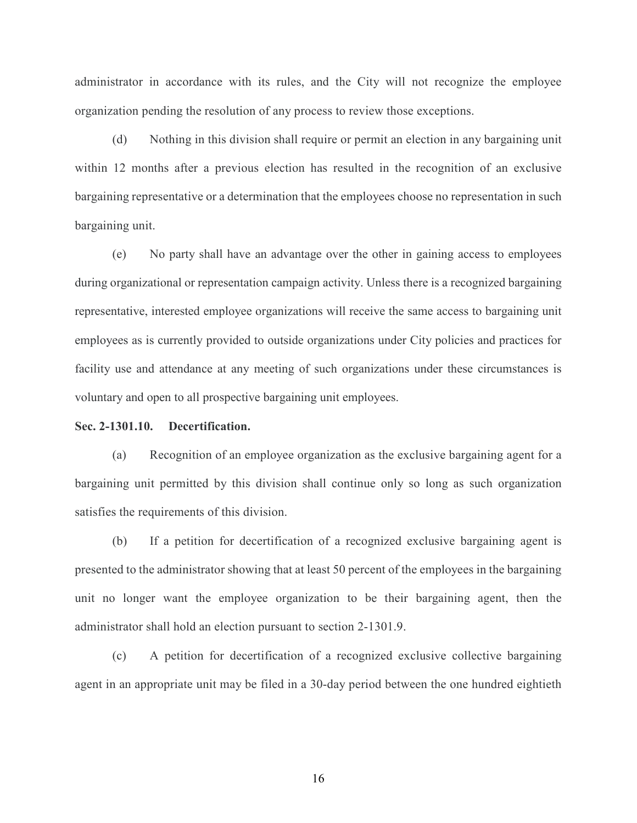administrator in accordance with its rules, and the City will not recognize the employee organization pending the resolution of any process to review those exceptions.

(d) Nothing in this division shall require or permit an election in any bargaining unit within 12 months after a previous election has resulted in the recognition of an exclusive bargaining representative or a determination that the employees choose no representation in such bargaining unit.

(e) No party shall have an advantage over the other in gaining access to employees during organizational or representation campaign activity. Unless there is a recognized bargaining representative, interested employee organizations will receive the same access to bargaining unit employees as is currently provided to outside organizations under City policies and practices for facility use and attendance at any meeting of such organizations under these circumstances is voluntary and open to all prospective bargaining unit employees.

#### **Sec. 2-1301.10. Decertification.**

(a) Recognition of an employee organization as the exclusive bargaining agent for a bargaining unit permitted by this division shall continue only so long as such organization satisfies the requirements of this division.

(b) If a petition for decertification of a recognized exclusive bargaining agent is presented to the administrator showing that at least 50 percent of the employees in the bargaining unit no longer want the employee organization to be their bargaining agent, then the administrator shall hold an election pursuant to section 2-1301.9.

(c) A petition for decertification of a recognized exclusive collective bargaining agent in an appropriate unit may be filed in a 30-day period between the one hundred eightieth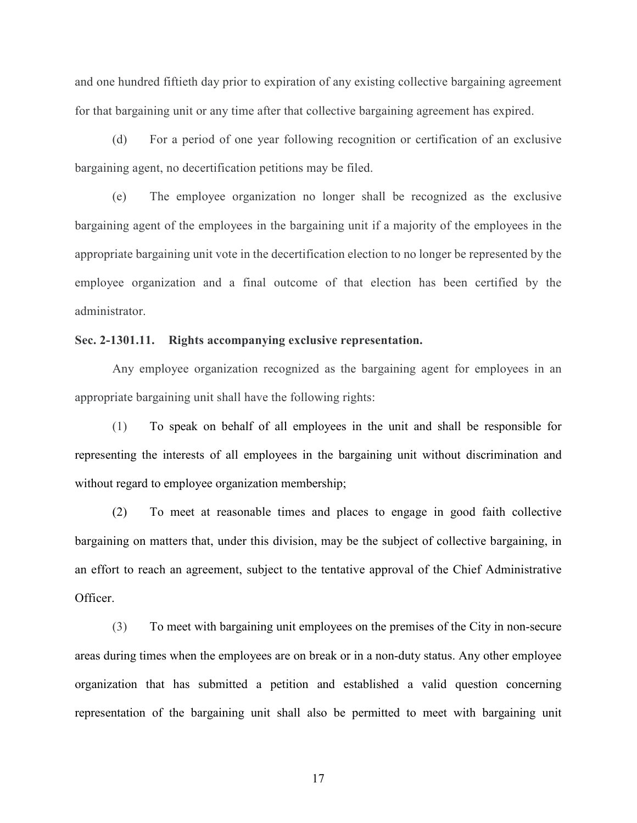and one hundred fiftieth day prior to expiration of any existing collective bargaining agreement for that bargaining unit or any time after that collective bargaining agreement has expired.

(d) For a period of one year following recognition or certification of an exclusive bargaining agent, no decertification petitions may be filed.

(e) The employee organization no longer shall be recognized as the exclusive bargaining agent of the employees in the bargaining unit if a majority of the employees in the appropriate bargaining unit vote in the decertification election to no longer be represented by the employee organization and a final outcome of that election has been certified by the administrator.

#### **Sec. 2-1301.11. Rights accompanying exclusive representation.**

Any employee organization recognized as the bargaining agent for employees in an appropriate bargaining unit shall have the following rights:

(1) To speak on behalf of all employees in the unit and shall be responsible for representing the interests of all employees in the bargaining unit without discrimination and without regard to employee organization membership;

(2) To meet at reasonable times and places to engage in good faith collective bargaining on matters that, under this division, may be the subject of collective bargaining, in an effort to reach an agreement, subject to the tentative approval of the Chief Administrative Officer.

(3) To meet with bargaining unit employees on the premises of the City in non-secure areas during times when the employees are on break or in a non-duty status. Any other employee organization that has submitted a petition and established a valid question concerning representation of the bargaining unit shall also be permitted to meet with bargaining unit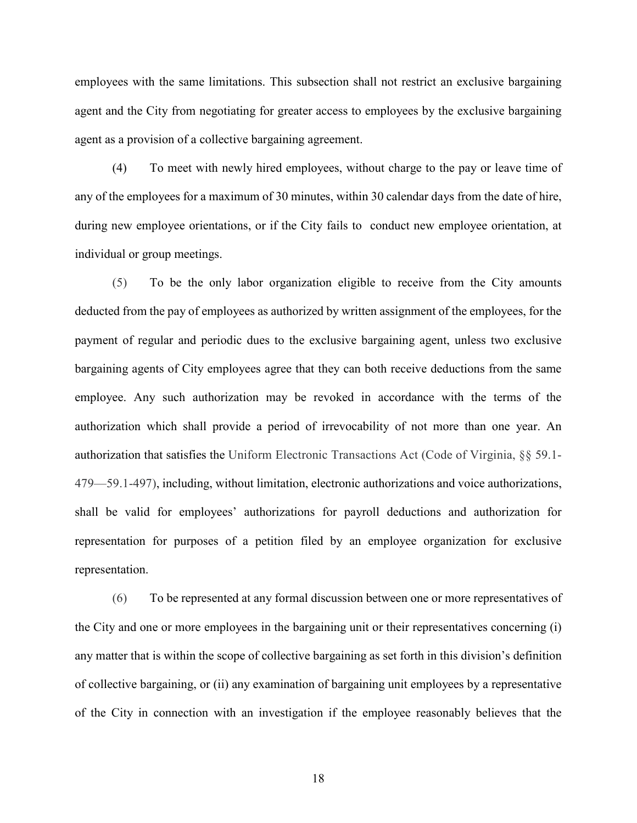employees with the same limitations. This subsection shall not restrict an exclusive bargaining agent and the City from negotiating for greater access to employees by the exclusive bargaining agent as a provision of a collective bargaining agreement.

(4) To meet with newly hired employees, without charge to the pay or leave time of any of the employees for a maximum of 30 minutes, within 30 calendar days from the date of hire, during new employee orientations, or if the City fails to conduct new employee orientation, at individual or group meetings.

(5) To be the only labor organization eligible to receive from the City amounts deducted from the pay of employees as authorized by written assignment of the employees, for the payment of regular and periodic dues to the exclusive bargaining agent, unless two exclusive bargaining agents of City employees agree that they can both receive deductions from the same employee. Any such authorization may be revoked in accordance with the terms of the authorization which shall provide a period of irrevocability of not more than one year. An authorization that satisfies the Uniform Electronic Transactions Act (Code of Virginia, §§ 59.1- 479—59.1-497), including, without limitation, electronic authorizations and voice authorizations, shall be valid for employees' authorizations for payroll deductions and authorization for representation for purposes of a petition filed by an employee organization for exclusive representation.

(6) To be represented at any formal discussion between one or more representatives of the City and one or more employees in the bargaining unit or their representatives concerning (i) any matter that is within the scope of collective bargaining as set forth in this division's definition of collective bargaining, or (ii) any examination of bargaining unit employees by a representative of the City in connection with an investigation if the employee reasonably believes that the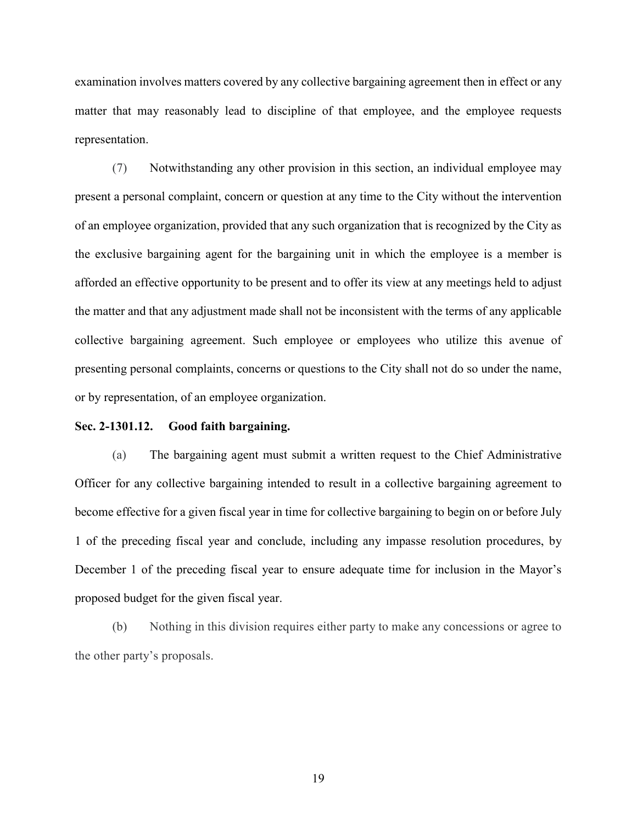examination involves matters covered by any collective bargaining agreement then in effect or any matter that may reasonably lead to discipline of that employee, and the employee requests representation.

(7) Notwithstanding any other provision in this section, an individual employee may present a personal complaint, concern or question at any time to the City without the intervention of an employee organization, provided that any such organization that is recognized by the City as the exclusive bargaining agent for the bargaining unit in which the employee is a member is afforded an effective opportunity to be present and to offer its view at any meetings held to adjust the matter and that any adjustment made shall not be inconsistent with the terms of any applicable collective bargaining agreement. Such employee or employees who utilize this avenue of presenting personal complaints, concerns or questions to the City shall not do so under the name, or by representation, of an employee organization.

#### **Sec. 2-1301.12. Good faith bargaining.**

(a) The bargaining agent must submit a written request to the Chief Administrative Officer for any collective bargaining intended to result in a collective bargaining agreement to become effective for a given fiscal year in time for collective bargaining to begin on or before July 1 of the preceding fiscal year and conclude, including any impasse resolution procedures, by December 1 of the preceding fiscal year to ensure adequate time for inclusion in the Mayor's proposed budget for the given fiscal year.

(b) Nothing in this division requires either party to make any concessions or agree to the other party's proposals.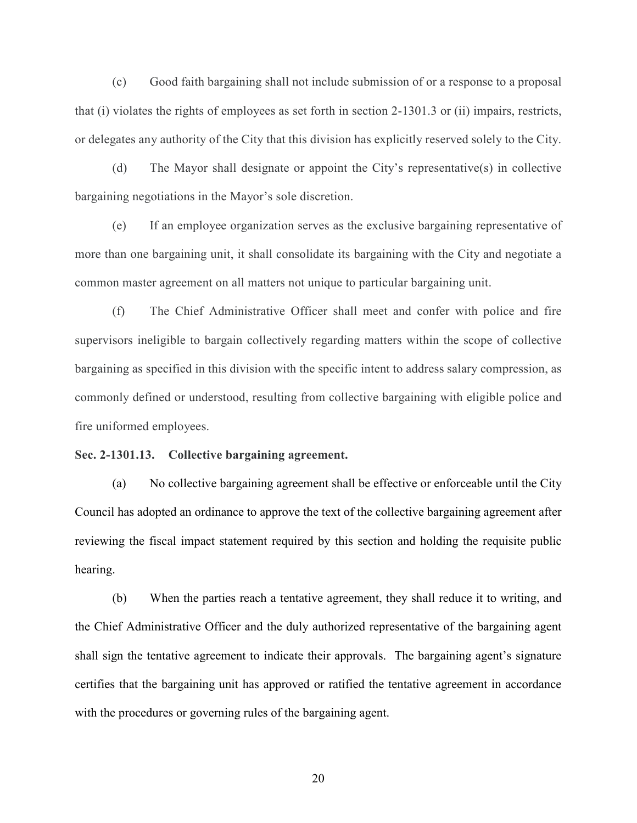(c) Good faith bargaining shall not include submission of or a response to a proposal that (i) violates the rights of employees as set forth in section 2-1301.3 or (ii) impairs, restricts, or delegates any authority of the City that this division has explicitly reserved solely to the City.

(d) The Mayor shall designate or appoint the City's representative(s) in collective bargaining negotiations in the Mayor's sole discretion.

(e) If an employee organization serves as the exclusive bargaining representative of more than one bargaining unit, it shall consolidate its bargaining with the City and negotiate a common master agreement on all matters not unique to particular bargaining unit.

(f) The Chief Administrative Officer shall meet and confer with police and fire supervisors ineligible to bargain collectively regarding matters within the scope of collective bargaining as specified in this division with the specific intent to address salary compression, as commonly defined or understood, resulting from collective bargaining with eligible police and fire uniformed employees.

**Sec. 2-1301.13. Collective bargaining agreement.**

(a) No collective bargaining agreement shall be effective or enforceable until the City Council has adopted an ordinance to approve the text of the collective bargaining agreement after reviewing the fiscal impact statement required by this section and holding the requisite public hearing.

(b) When the parties reach a tentative agreement, they shall reduce it to writing, and the Chief Administrative Officer and the duly authorized representative of the bargaining agent shall sign the tentative agreement to indicate their approvals. The bargaining agent's signature certifies that the bargaining unit has approved or ratified the tentative agreement in accordance with the procedures or governing rules of the bargaining agent.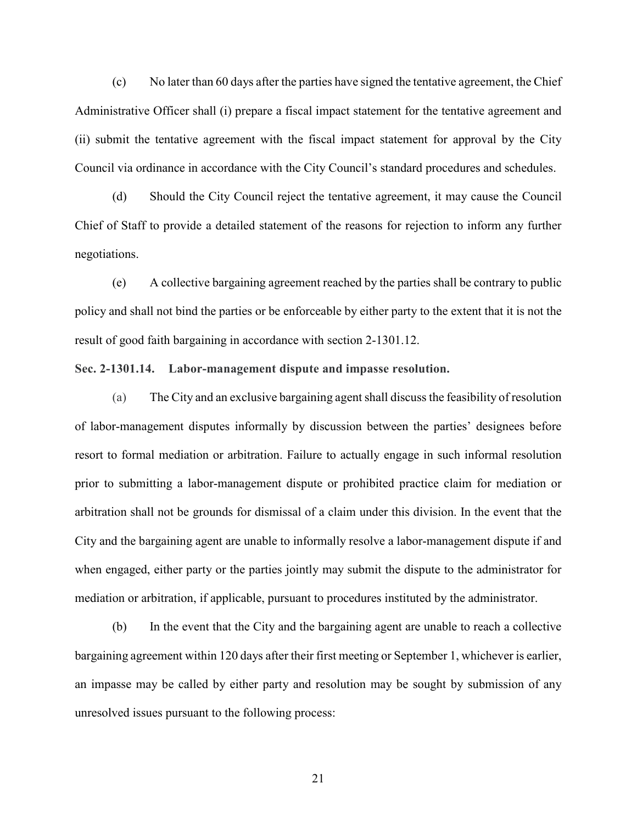(c) No later than 60 days after the parties have signed the tentative agreement, the Chief Administrative Officer shall (i) prepare a fiscal impact statement for the tentative agreement and (ii) submit the tentative agreement with the fiscal impact statement for approval by the City Council via ordinance in accordance with the City Council's standard procedures and schedules.

(d) Should the City Council reject the tentative agreement, it may cause the Council Chief of Staff to provide a detailed statement of the reasons for rejection to inform any further negotiations.

(e) A collective bargaining agreement reached by the parties shall be contrary to public policy and shall not bind the parties or be enforceable by either party to the extent that it is not the result of good faith bargaining in accordance with section 2-1301.12.

#### **Sec. 2-1301.14. Labor-management dispute and impasse resolution.**

(a) The City and an exclusive bargaining agentshall discussthe feasibility of resolution of labor-management disputes informally by discussion between the parties' designees before resort to formal mediation or arbitration. Failure to actually engage in such informal resolution prior to submitting a labor-management dispute or prohibited practice claim for mediation or arbitration shall not be grounds for dismissal of a claim under this division. In the event that the City and the bargaining agent are unable to informally resolve a labor-management dispute if and when engaged, either party or the parties jointly may submit the dispute to the administrator for mediation or arbitration, if applicable, pursuant to procedures instituted by the administrator.

(b) In the event that the City and the bargaining agent are unable to reach a collective bargaining agreement within 120 days after their first meeting or September 1, whichever is earlier, an impasse may be called by either party and resolution may be sought by submission of any unresolved issues pursuant to the following process: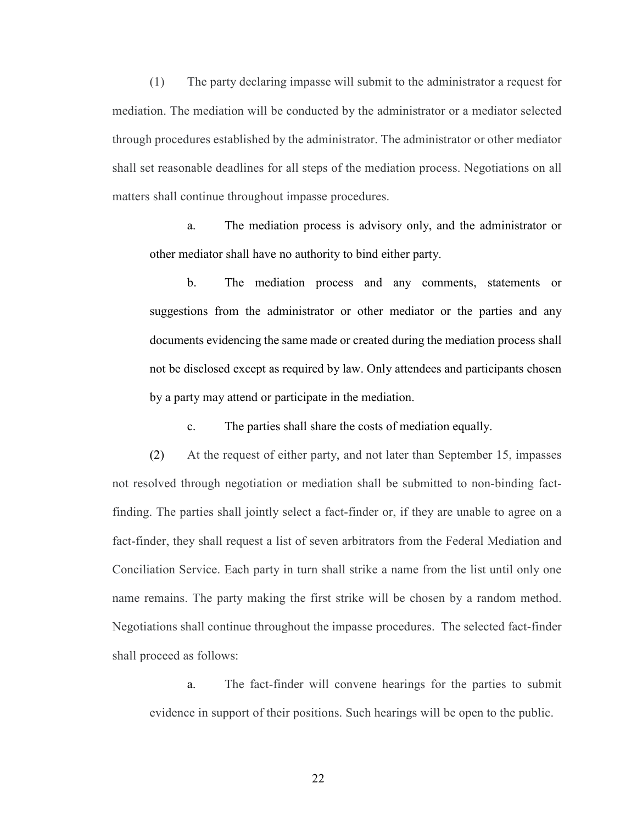(1) The party declaring impasse will submit to the administrator a request for mediation. The mediation will be conducted by the administrator or a mediator selected through procedures established by the administrator. The administrator or other mediator shall set reasonable deadlines for all steps of the mediation process. Negotiations on all matters shall continue throughout impasse procedures.

a. The mediation process is advisory only, and the administrator or other mediator shall have no authority to bind either party.

b. The mediation process and any comments, statements or suggestions from the administrator or other mediator or the parties and any documents evidencing the same made or created during the mediation process shall not be disclosed except as required by law. Only attendees and participants chosen by a party may attend or participate in the mediation.

c. The parties shall share the costs of mediation equally.

(2) At the request of either party, and not later than September 15, impasses not resolved through negotiation or mediation shall be submitted to non-binding factfinding. The parties shall jointly select a fact-finder or, if they are unable to agree on a fact-finder, they shall request a list of seven arbitrators from the Federal Mediation and Conciliation Service. Each party in turn shall strike a name from the list until only one name remains. The party making the first strike will be chosen by a random method. Negotiations shall continue throughout the impasse procedures. The selected fact-finder shall proceed as follows:

a. The fact-finder will convene hearings for the parties to submit evidence in support of their positions. Such hearings will be open to the public.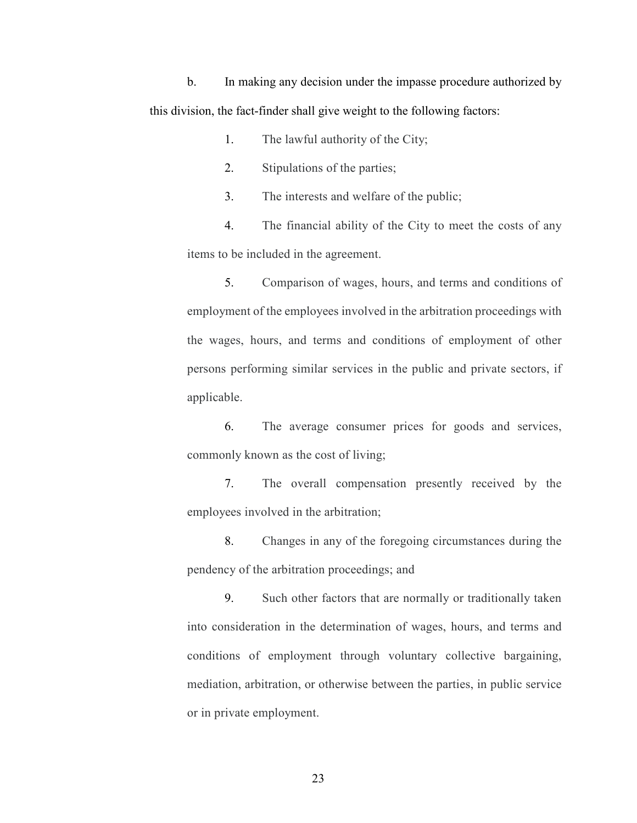b. In making any decision under the impasse procedure authorized by this division, the fact-finder shall give weight to the following factors:

1. The lawful authority of the City;

2. Stipulations of the parties;

3. The interests and welfare of the public;

4. The financial ability of the City to meet the costs of any items to be included in the agreement.

5. Comparison of wages, hours, and terms and conditions of employment of the employees involved in the arbitration proceedings with the wages, hours, and terms and conditions of employment of other persons performing similar services in the public and private sectors, if applicable.

6. The average consumer prices for goods and services, commonly known as the cost of living;

7. The overall compensation presently received by the employees involved in the arbitration;

8. Changes in any of the foregoing circumstances during the pendency of the arbitration proceedings; and

9. Such other factors that are normally or traditionally taken into consideration in the determination of wages, hours, and terms and conditions of employment through voluntary collective bargaining, mediation, arbitration, or otherwise between the parties, in public service or in private employment.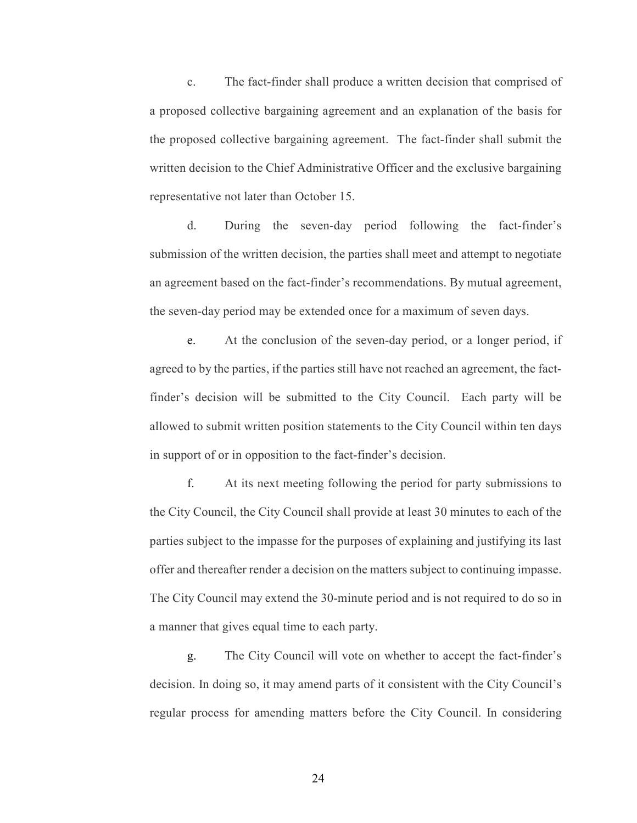c. The fact-finder shall produce a written decision that comprised of a proposed collective bargaining agreement and an explanation of the basis for the proposed collective bargaining agreement. The fact-finder shall submit the written decision to the Chief Administrative Officer and the exclusive bargaining representative not later than October 15.

d. During the seven-day period following the fact-finder's submission of the written decision, the parties shall meet and attempt to negotiate an agreement based on the fact-finder's recommendations. By mutual agreement, the seven-day period may be extended once for a maximum of seven days.

e. At the conclusion of the seven-day period, or a longer period, if agreed to by the parties, if the parties still have not reached an agreement, the factfinder's decision will be submitted to the City Council. Each party will be allowed to submit written position statements to the City Council within ten days in support of or in opposition to the fact-finder's decision.

f. At its next meeting following the period for party submissions to the City Council, the City Council shall provide at least 30 minutes to each of the parties subject to the impasse for the purposes of explaining and justifying its last offer and thereafter render a decision on the matters subject to continuing impasse. The City Council may extend the 30-minute period and is not required to do so in a manner that gives equal time to each party.

g. The City Council will vote on whether to accept the fact-finder's decision. In doing so, it may amend parts of it consistent with the City Council's regular process for amending matters before the City Council. In considering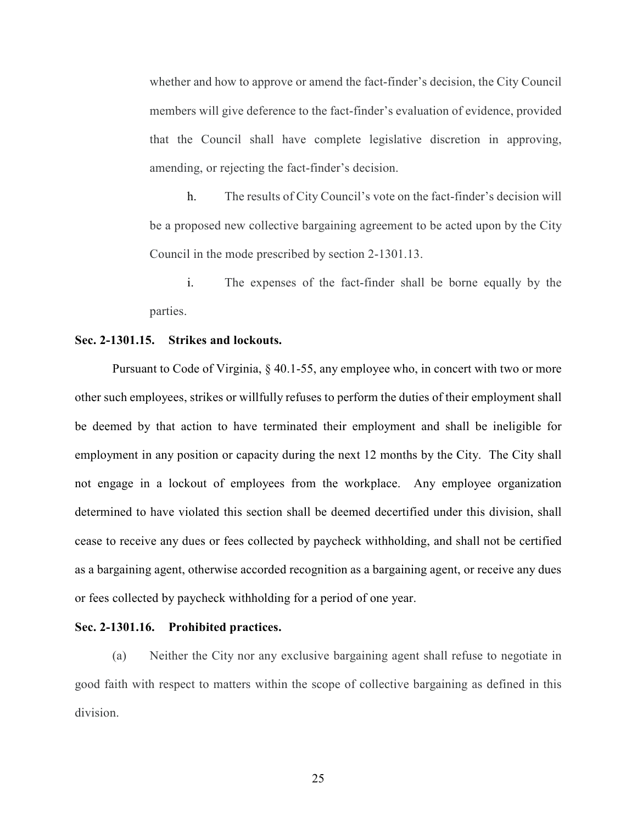whether and how to approve or amend the fact-finder's decision, the City Council members will give deference to the fact-finder's evaluation of evidence, provided that the Council shall have complete legislative discretion in approving, amending, or rejecting the fact-finder's decision.

h. The results of City Council's vote on the fact-finder's decision will be a proposed new collective bargaining agreement to be acted upon by the City Council in the mode prescribed by section 2-1301.13.

i. The expenses of the fact-finder shall be borne equally by the parties.

#### **Sec. 2-1301.15. Strikes and lockouts.**

Pursuant to Code of Virginia, § 40.1-55, any employee who, in concert with two or more other such employees, strikes or willfully refuses to perform the duties of their employment shall be deemed by that action to have terminated their employment and shall be ineligible for employment in any position or capacity during the next 12 months by the City. The City shall not engage in a lockout of employees from the workplace. Any employee organization determined to have violated this section shall be deemed decertified under this division, shall cease to receive any dues or fees collected by paycheck withholding, and shall not be certified as a bargaining agent, otherwise accorded recognition as a bargaining agent, or receive any dues or fees collected by paycheck withholding for a period of one year.

#### **Sec. 2-1301.16. Prohibited practices.**

(a) Neither the City nor any exclusive bargaining agent shall refuse to negotiate in good faith with respect to matters within the scope of collective bargaining as defined in this division.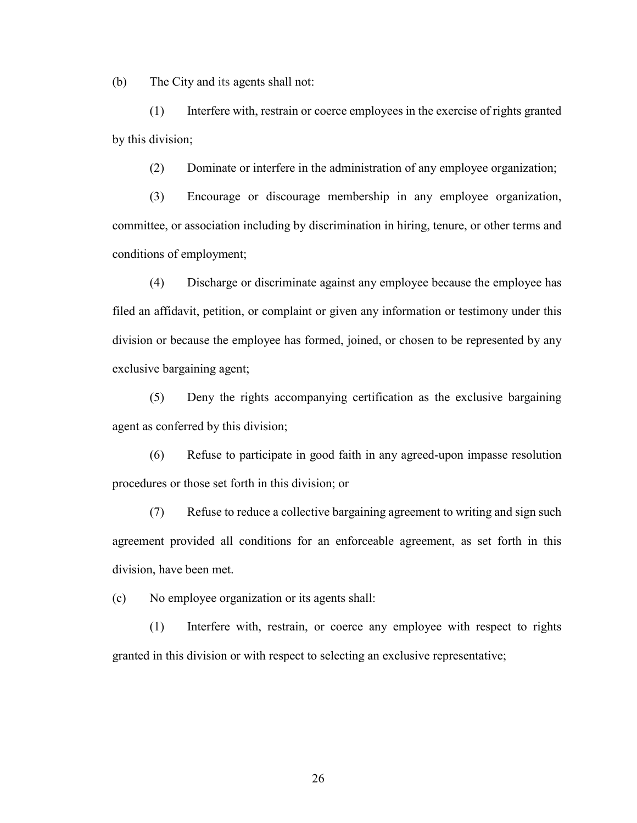(b) The City and its agents shall not:

(1) Interfere with, restrain or coerce employees in the exercise of rights granted by this division;

(2) Dominate or interfere in the administration of any employee organization;

(3) Encourage or discourage membership in any employee organization, committee, or association including by discrimination in hiring, tenure, or other terms and conditions of employment;

(4) Discharge or discriminate against any employee because the employee has filed an affidavit, petition, or complaint or given any information or testimony under this division or because the employee has formed, joined, or chosen to be represented by any exclusive bargaining agent;

(5) Deny the rights accompanying certification as the exclusive bargaining agent as conferred by this division;

(6) Refuse to participate in good faith in any agreed-upon impasse resolution procedures or those set forth in this division; or

(7) Refuse to reduce a collective bargaining agreement to writing and sign such agreement provided all conditions for an enforceable agreement, as set forth in this division, have been met.

(c) No employee organization or its agents shall:

(1) Interfere with, restrain, or coerce any employee with respect to rights granted in this division or with respect to selecting an exclusive representative;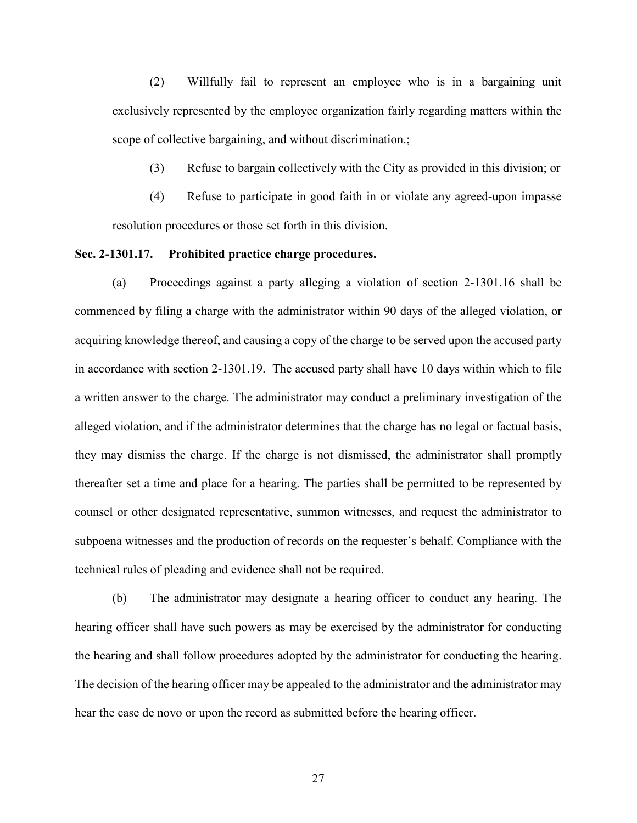(2) Willfully fail to represent an employee who is in a bargaining unit exclusively represented by the employee organization fairly regarding matters within the scope of collective bargaining, and without discrimination.;

(3) Refuse to bargain collectively with the City as provided in this division; or

(4) Refuse to participate in good faith in or violate any agreed-upon impasse resolution procedures or those set forth in this division.

#### **Sec. 2-1301.17. Prohibited practice charge procedures.**

(a) Proceedings against a party alleging a violation of section 2-1301.16 shall be commenced by filing a charge with the administrator within 90 days of the alleged violation, or acquiring knowledge thereof, and causing a copy of the charge to be served upon the accused party in accordance with section 2-1301.19. The accused party shall have 10 days within which to file a written answer to the charge. The administrator may conduct a preliminary investigation of the alleged violation, and if the administrator determines that the charge has no legal or factual basis, they may dismiss the charge. If the charge is not dismissed, the administrator shall promptly thereafter set a time and place for a hearing. The parties shall be permitted to be represented by counsel or other designated representative, summon witnesses, and request the administrator to subpoena witnesses and the production of records on the requester's behalf. Compliance with the technical rules of pleading and evidence shall not be required.

(b) The administrator may designate a hearing officer to conduct any hearing. The hearing officer shall have such powers as may be exercised by the administrator for conducting the hearing and shall follow procedures adopted by the administrator for conducting the hearing. The decision of the hearing officer may be appealed to the administrator and the administrator may hear the case de novo or upon the record as submitted before the hearing officer.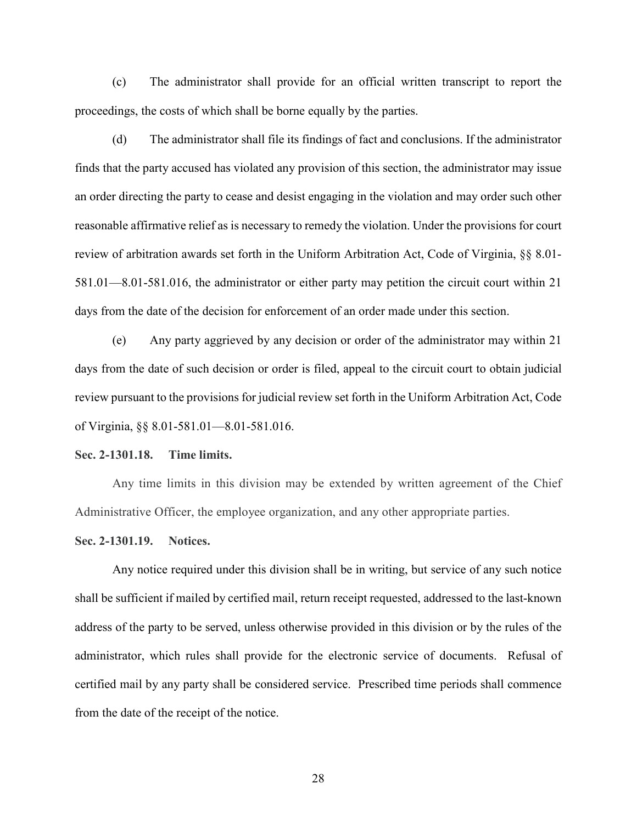(c) The administrator shall provide for an official written transcript to report the proceedings, the costs of which shall be borne equally by the parties.

(d) The administrator shall file its findings of fact and conclusions. If the administrator finds that the party accused has violated any provision of this section, the administrator may issue an order directing the party to cease and desist engaging in the violation and may order such other reasonable affirmative relief as is necessary to remedy the violation. Under the provisions for court review of arbitration awards set forth in the Uniform Arbitration Act, Code of Virginia, §§ 8.01- 581.01—8.01-581.016, the administrator or either party may petition the circuit court within 21 days from the date of the decision for enforcement of an order made under this section.

(e) Any party aggrieved by any decision or order of the administrator may within 21 days from the date of such decision or order is filed, appeal to the circuit court to obtain judicial review pursuant to the provisions for judicial review set forth in the Uniform Arbitration Act, Code of Virginia, §§ 8.01-581.01—8.01-581.016.

#### **Sec. 2-1301.18. Time limits.**

Any time limits in this division may be extended by written agreement of the Chief Administrative Officer, the employee organization, and any other appropriate parties.

#### **Sec. 2-1301.19. Notices.**

Any notice required under this division shall be in writing, but service of any such notice shall be sufficient if mailed by certified mail, return receipt requested, addressed to the last-known address of the party to be served, unless otherwise provided in this division or by the rules of the administrator, which rules shall provide for the electronic service of documents. Refusal of certified mail by any party shall be considered service. Prescribed time periods shall commence from the date of the receipt of the notice.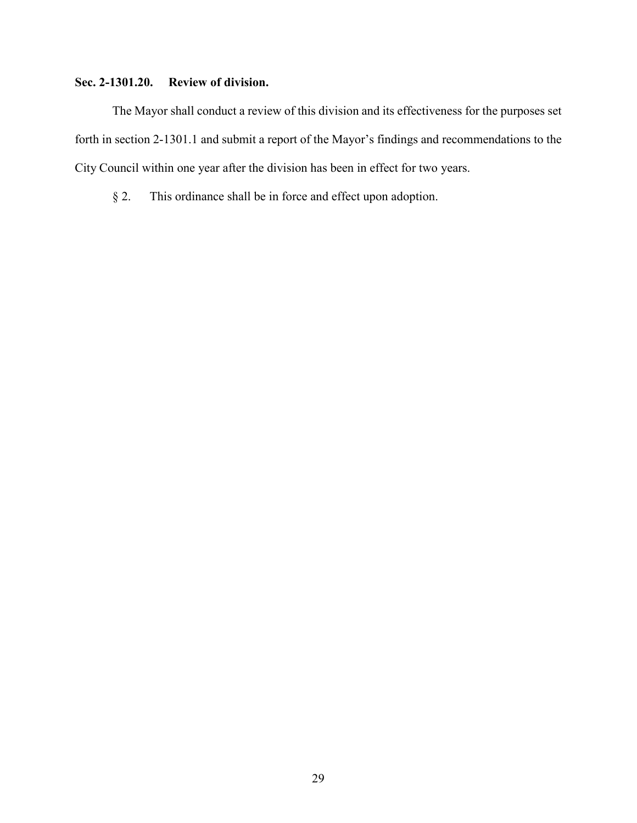## **Sec. 2-1301.20. Review of division.**

The Mayor shall conduct a review of this division and its effectiveness for the purposes set forth in section 2-1301.1 and submit a report of the Mayor's findings and recommendations to the City Council within one year after the division has been in effect for two years.

§ 2. This ordinance shall be in force and effect upon adoption.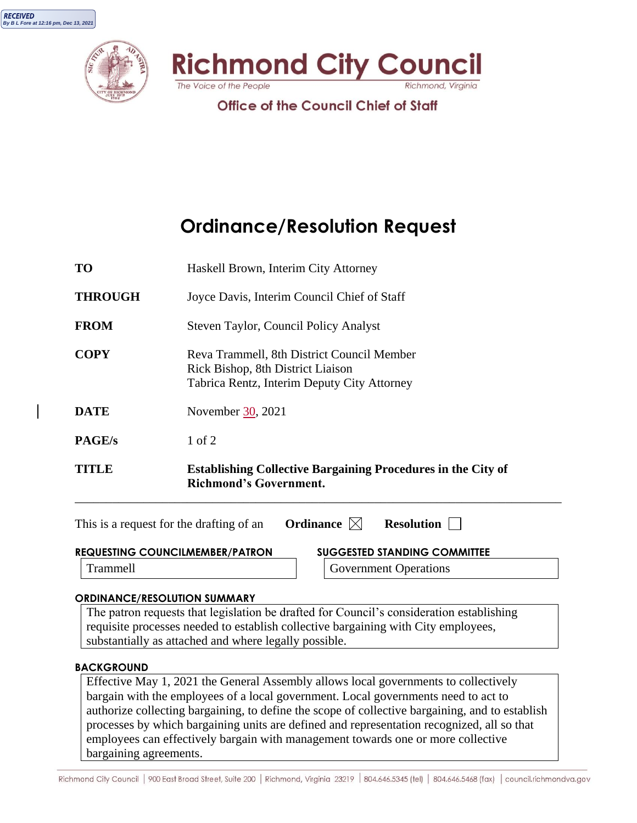





**Office of the Council Chief of Staff** 

# **Ordinance/Resolution Request**

| TITLE.         | <b>Establishing Collective Bargaining Procedures in the City of</b><br><b>Richmond's Government.</b>                           |  |
|----------------|--------------------------------------------------------------------------------------------------------------------------------|--|
| <b>PAGE/s</b>  | 1 of 2                                                                                                                         |  |
| <b>DATE</b>    | November 30, 2021                                                                                                              |  |
| <b>COPY</b>    | Reva Trammell, 8th District Council Member<br>Rick Bishop, 8th District Liaison<br>Tabrica Rentz, Interim Deputy City Attorney |  |
| <b>FROM</b>    | Steven Taylor, Council Policy Analyst                                                                                          |  |
| <b>THROUGH</b> | Joyce Davis, Interim Council Chief of Staff                                                                                    |  |
| <b>TO</b>      | Haskell Brown, Interim City Attorney                                                                                           |  |

| This is a request for the drafting of an | Ordinance $\boxtimes$ |  | <b>Resolution</b>                   |  |  |
|------------------------------------------|-----------------------|--|-------------------------------------|--|--|
| <b>REQUESTING COUNCILMEMBER/PATRON</b>   |                       |  | <b>SUGGESTED STANDING COMMITTEE</b> |  |  |
| Trammell                                 |                       |  | <b>Government Operations</b>        |  |  |
| <b>ORDINANCE/RESOLUTION SUMMARY</b>      |                       |  |                                     |  |  |

## The patron requests that legislation be drafted for Council's consideration establishing requisite processes needed to establish collective bargaining with City employees, substantially as attached and where legally possible.

#### **BACKGROUND**

Effective May 1, 2021 the General Assembly allows local governments to collectively bargain with the employees of a local government. Local governments need to act to authorize collecting bargaining, to define the scope of collective bargaining, and to establish processes by which bargaining units are defined and representation recognized, all so that employees can effectively bargain with management towards one or more collective bargaining agreements.